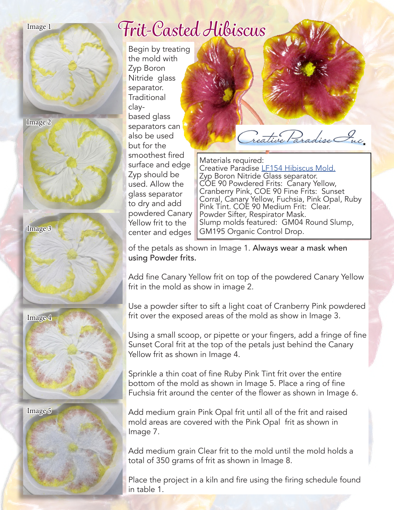

## *Frit-Casted Hibiscus*

Begin by treating the mold with Zyp Boron Nitride glass separator. **Traditional** claybased glass separators can also be used but for the smoothest fired surface and edge Zyp should be used. Allow the glass separator to dry and add powdered Canary Yellow frit to the center and edges

Treative Paradise Inc.

Materials required: Creative Paradise [LF154 Hibiscus Mold.](http://www.creativeparadiseglass.com/product-p/lf154.htm) Zyp Boron Nitride Glass separator. COE 90 Powdered Frits: Canary Yellow, Cranberry Pink, COE 90 Fine Frits: Sunset Corral, Canary Yellow, Fuchsia, Pink Opal, Ruby Pink Tint. COE 90 Medium Frit: Clear. Powder Sifter, Respirator Mask. Slump molds featured: GM04 Round Slump, GM195 Organic Control Drop.

of the petals as shown in Image 1. Always wear a mask when using Powder frits.

Add fine Canary Yellow frit on top of the powdered Canary Yellow frit in the mold as show in image 2.

Use a powder sifter to sift a light coat of Cranberry Pink powdered frit over the exposed areas of the mold as show in Image 3.

Using a small scoop, or pipette or your fingers, add a fringe of fine Sunset Coral frit at the top of the petals just behind the Canary Yellow frit as shown in Image 4.

Sprinkle a thin coat of fine Ruby Pink Tint frit over the entire bottom of the mold as shown in Image 5. Place a ring of fine Fuchsia frit around the center of the flower as shown in Image 6.

Add medium grain Pink Opal frit until all of the frit and raised mold areas are covered with the Pink Opal frit as shown in Image 7.

Add medium grain Clear frit to the mold until the mold holds a total of 350 grams of frit as shown in Image 8.

Place the project in a kiln and fire using the firing schedule found in table 1.